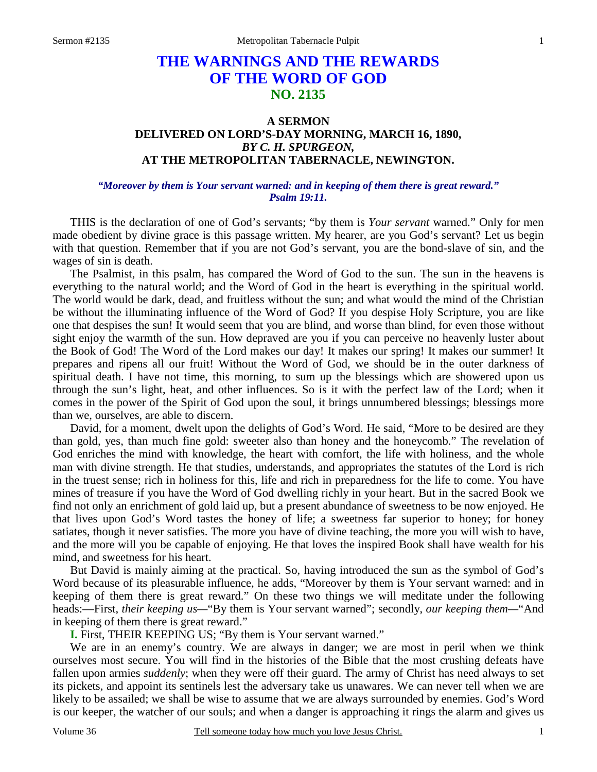# **THE WARNINGS AND THE REWARDS OF THE WORD OF GOD NO. 2135**

# **A SERMON DELIVERED ON LORD'S-DAY MORNING, MARCH 16, 1890,**  *BY C. H. SPURGEON,*  **AT THE METROPOLITAN TABERNACLE, NEWINGTON.**

#### *"Moreover by them is Your servant warned: and in keeping of them there is great reward." Psalm 19:11.*

THIS is the declaration of one of God's servants; "by them is *Your servant* warned." Only for men made obedient by divine grace is this passage written. My hearer, are you God's servant? Let us begin with that question. Remember that if you are not God's servant, you are the bond-slave of sin, and the wages of sin is death.

 The Psalmist, in this psalm, has compared the Word of God to the sun. The sun in the heavens is everything to the natural world; and the Word of God in the heart is everything in the spiritual world. The world would be dark, dead, and fruitless without the sun; and what would the mind of the Christian be without the illuminating influence of the Word of God? If you despise Holy Scripture, you are like one that despises the sun! It would seem that you are blind, and worse than blind, for even those without sight enjoy the warmth of the sun. How depraved are you if you can perceive no heavenly luster about the Book of God! The Word of the Lord makes our day! It makes our spring! It makes our summer! It prepares and ripens all our fruit! Without the Word of God, we should be in the outer darkness of spiritual death. I have not time, this morning, to sum up the blessings which are showered upon us through the sun's light, heat, and other influences. So is it with the perfect law of the Lord; when it comes in the power of the Spirit of God upon the soul, it brings unnumbered blessings; blessings more than we, ourselves, are able to discern.

 David, for a moment, dwelt upon the delights of God's Word. He said, "More to be desired are they than gold, yes, than much fine gold: sweeter also than honey and the honeycomb." The revelation of God enriches the mind with knowledge, the heart with comfort, the life with holiness, and the whole man with divine strength. He that studies, understands, and appropriates the statutes of the Lord is rich in the truest sense; rich in holiness for this, life and rich in preparedness for the life to come. You have mines of treasure if you have the Word of God dwelling richly in your heart. But in the sacred Book we find not only an enrichment of gold laid up, but a present abundance of sweetness to be now enjoyed. He that lives upon God's Word tastes the honey of life; a sweetness far superior to honey; for honey satiates, though it never satisfies. The more you have of divine teaching, the more you will wish to have, and the more will you be capable of enjoying. He that loves the inspired Book shall have wealth for his mind, and sweetness for his heart.

 But David is mainly aiming at the practical. So, having introduced the sun as the symbol of God's Word because of its pleasurable influence, he adds, "Moreover by them is Your servant warned: and in keeping of them there is great reward." On these two things we will meditate under the following heads:—First, *their keeping us—*"By them is Your servant warned"; secondly, *our keeping them—*"And in keeping of them there is great reward."

**I.** First, THEIR KEEPING US; "By them is Your servant warned."

 We are in an enemy's country. We are always in danger; we are most in peril when we think ourselves most secure. You will find in the histories of the Bible that the most crushing defeats have fallen upon armies *suddenly*; when they were off their guard. The army of Christ has need always to set its pickets, and appoint its sentinels lest the adversary take us unawares. We can never tell when we are likely to be assailed; we shall be wise to assume that we are always surrounded by enemies. God's Word is our keeper, the watcher of our souls; and when a danger is approaching it rings the alarm and gives us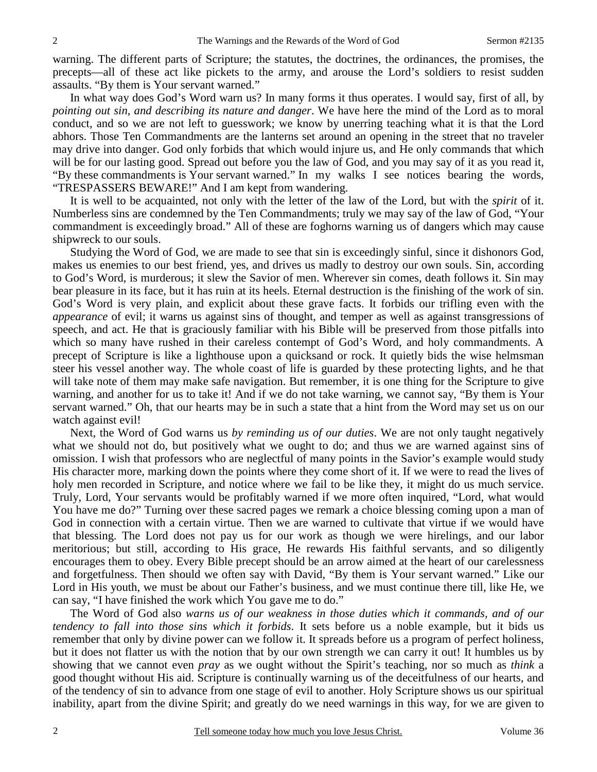warning. The different parts of Scripture; the statutes, the doctrines, the ordinances, the promises, the precepts—all of these act like pickets to the army, and arouse the Lord's soldiers to resist sudden assaults. "By them is Your servant warned."

 In what way does God's Word warn us? In many forms it thus operates. I would say, first of all, by *pointing out sin, and describing its nature and danger*. We have here the mind of the Lord as to moral conduct, and so we are not left to guesswork; we know by unerring teaching what it is that the Lord abhors. Those Ten Commandments are the lanterns set around an opening in the street that no traveler may drive into danger. God only forbids that which would injure us, and He only commands that which will be for our lasting good. Spread out before you the law of God, and you may say of it as you read it, "By these commandments is Your servant warned." In my walks I see notices bearing the words, "TRESPASSERS BEWARE!" And I am kept from wandering.

 It is well to be acquainted, not only with the letter of the law of the Lord, but with the *spirit* of it. Numberless sins are condemned by the Ten Commandments; truly we may say of the law of God, "Your commandment is exceedingly broad." All of these are foghorns warning us of dangers which may cause shipwreck to our souls.

 Studying the Word of God, we are made to see that sin is exceedingly sinful, since it dishonors God, makes us enemies to our best friend, yes, and drives us madly to destroy our own souls. Sin, according to God's Word, is murderous; it slew the Savior of men. Wherever sin comes, death follows it. Sin may bear pleasure in its face, but it has ruin at its heels. Eternal destruction is the finishing of the work of sin. God's Word is very plain, and explicit about these grave facts. It forbids our trifling even with the *appearance* of evil; it warns us against sins of thought, and temper as well as against transgressions of speech, and act. He that is graciously familiar with his Bible will be preserved from those pitfalls into which so many have rushed in their careless contempt of God's Word, and holy commandments. A precept of Scripture is like a lighthouse upon a quicksand or rock. It quietly bids the wise helmsman steer his vessel another way. The whole coast of life is guarded by these protecting lights, and he that will take note of them may make safe navigation. But remember, it is one thing for the Scripture to give warning, and another for us to take it! And if we do not take warning, we cannot say, "By them is Your servant warned." Oh, that our hearts may be in such a state that a hint from the Word may set us on our watch against evil!

 Next, the Word of God warns us *by reminding us of our duties*. We are not only taught negatively what we should not do, but positively what we ought to do; and thus we are warned against sins of omission. I wish that professors who are neglectful of many points in the Savior's example would study His character more, marking down the points where they come short of it. If we were to read the lives of holy men recorded in Scripture, and notice where we fail to be like they, it might do us much service. Truly, Lord, Your servants would be profitably warned if we more often inquired, "Lord, what would You have me do?" Turning over these sacred pages we remark a choice blessing coming upon a man of God in connection with a certain virtue. Then we are warned to cultivate that virtue if we would have that blessing. The Lord does not pay us for our work as though we were hirelings, and our labor meritorious; but still, according to His grace, He rewards His faithful servants, and so diligently encourages them to obey. Every Bible precept should be an arrow aimed at the heart of our carelessness and forgetfulness. Then should we often say with David, "By them is Your servant warned." Like our Lord in His youth, we must be about our Father's business, and we must continue there till, like He, we can say, "I have finished the work which You gave me to do."

 The Word of God also *warns us of our weakness in those duties which it commands, and of our tendency to fall into those sins which it forbids*. It sets before us a noble example, but it bids us remember that only by divine power can we follow it. It spreads before us a program of perfect holiness, but it does not flatter us with the notion that by our own strength we can carry it out! It humbles us by showing that we cannot even *pray* as we ought without the Spirit's teaching, nor so much as *think* a good thought without His aid. Scripture is continually warning us of the deceitfulness of our hearts, and of the tendency of sin to advance from one stage of evil to another. Holy Scripture shows us our spiritual inability, apart from the divine Spirit; and greatly do we need warnings in this way, for we are given to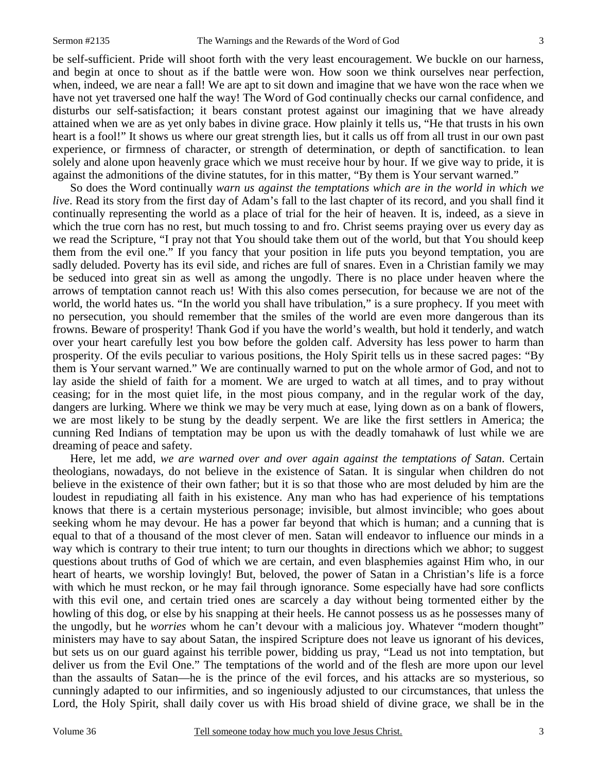be self-sufficient. Pride will shoot forth with the very least encouragement. We buckle on our harness, and begin at once to shout as if the battle were won. How soon we think ourselves near perfection, when, indeed, we are near a fall! We are apt to sit down and imagine that we have won the race when we have not yet traversed one half the way! The Word of God continually checks our carnal confidence, and disturbs our self-satisfaction; it bears constant protest against our imagining that we have already attained when we are as yet only babes in divine grace. How plainly it tells us, "He that trusts in his own heart is a fool!" It shows us where our great strength lies, but it calls us off from all trust in our own past experience, or firmness of character, or strength of determination, or depth of sanctification. to lean solely and alone upon heavenly grace which we must receive hour by hour. If we give way to pride, it is against the admonitions of the divine statutes, for in this matter, "By them is Your servant warned."

 So does the Word continually *warn us against the temptations which are in the world in which we live*. Read its story from the first day of Adam's fall to the last chapter of its record, and you shall find it continually representing the world as a place of trial for the heir of heaven. It is, indeed, as a sieve in which the true corn has no rest, but much tossing to and fro. Christ seems praying over us every day as we read the Scripture, "I pray not that You should take them out of the world, but that You should keep them from the evil one." If you fancy that your position in life puts you beyond temptation, you are sadly deluded. Poverty has its evil side, and riches are full of snares. Even in a Christian family we may be seduced into great sin as well as among the ungodly. There is no place under heaven where the arrows of temptation cannot reach us! With this also comes persecution, for because we are not of the world, the world hates us. "In the world you shall have tribulation," is a sure prophecy. If you meet with no persecution, you should remember that the smiles of the world are even more dangerous than its frowns. Beware of prosperity! Thank God if you have the world's wealth, but hold it tenderly, and watch over your heart carefully lest you bow before the golden calf. Adversity has less power to harm than prosperity. Of the evils peculiar to various positions, the Holy Spirit tells us in these sacred pages: "By them is Your servant warned." We are continually warned to put on the whole armor of God, and not to lay aside the shield of faith for a moment. We are urged to watch at all times, and to pray without ceasing; for in the most quiet life, in the most pious company, and in the regular work of the day, dangers are lurking. Where we think we may be very much at ease, lying down as on a bank of flowers, we are most likely to be stung by the deadly serpent. We are like the first settlers in America; the cunning Red Indians of temptation may be upon us with the deadly tomahawk of lust while we are dreaming of peace and safety.

 Here, let me add, *we are warned over and over again against the temptations of Satan*. Certain theologians, nowadays, do not believe in the existence of Satan. It is singular when children do not believe in the existence of their own father; but it is so that those who are most deluded by him are the loudest in repudiating all faith in his existence. Any man who has had experience of his temptations knows that there is a certain mysterious personage; invisible, but almost invincible; who goes about seeking whom he may devour. He has a power far beyond that which is human; and a cunning that is equal to that of a thousand of the most clever of men. Satan will endeavor to influence our minds in a way which is contrary to their true intent; to turn our thoughts in directions which we abhor; to suggest questions about truths of God of which we are certain, and even blasphemies against Him who, in our heart of hearts, we worship lovingly! But, beloved, the power of Satan in a Christian's life is a force with which he must reckon, or he may fail through ignorance. Some especially have had sore conflicts with this evil one, and certain tried ones are scarcely a day without being tormented either by the howling of this dog, or else by his snapping at their heels. He cannot possess us as he possesses many of the ungodly, but he *worries* whom he can't devour with a malicious joy. Whatever "modern thought" ministers may have to say about Satan, the inspired Scripture does not leave us ignorant of his devices, but sets us on our guard against his terrible power, bidding us pray, "Lead us not into temptation, but deliver us from the Evil One." The temptations of the world and of the flesh are more upon our level than the assaults of Satan—he is the prince of the evil forces, and his attacks are so mysterious, so cunningly adapted to our infirmities, and so ingeniously adjusted to our circumstances, that unless the Lord, the Holy Spirit, shall daily cover us with His broad shield of divine grace, we shall be in the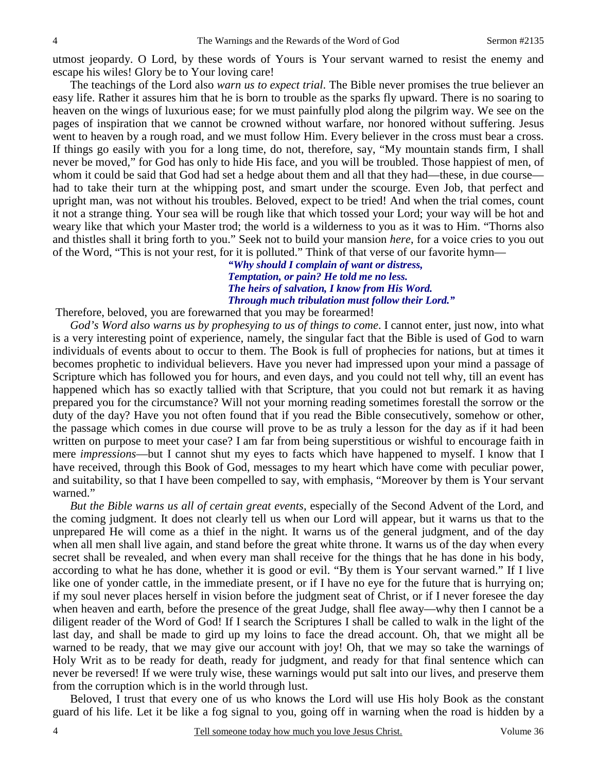utmost jeopardy. O Lord, by these words of Yours is Your servant warned to resist the enemy and escape his wiles! Glory be to Your loving care!

 The teachings of the Lord also *warn us to expect trial*. The Bible never promises the true believer an easy life. Rather it assures him that he is born to trouble as the sparks fly upward. There is no soaring to heaven on the wings of luxurious ease; for we must painfully plod along the pilgrim way. We see on the pages of inspiration that we cannot be crowned without warfare, nor honored without suffering. Jesus went to heaven by a rough road, and we must follow Him. Every believer in the cross must bear a cross. If things go easily with you for a long time, do not, therefore, say, "My mountain stands firm, I shall never be moved," for God has only to hide His face, and you will be troubled. Those happiest of men, of whom it could be said that God had set a hedge about them and all that they had—these, in due course had to take their turn at the whipping post, and smart under the scourge. Even Job, that perfect and upright man, was not without his troubles. Beloved, expect to be tried! And when the trial comes, count it not a strange thing. Your sea will be rough like that which tossed your Lord; your way will be hot and weary like that which your Master trod; the world is a wilderness to you as it was to Him. "Thorns also and thistles shall it bring forth to you." Seek not to build your mansion *here*, for a voice cries to you out of the Word, "This is not your rest, for it is polluted." Think of that verse of our favorite hymn—

> *"Why should I complain of want or distress, Temptation, or pain? He told me no less. The heirs of salvation, I know from His Word. Through much tribulation must follow their Lord."*

Therefore, beloved, you are forewarned that you may be forearmed!

*God's Word also warns us by prophesying to us of things to come*. I cannot enter, just now, into what is a very interesting point of experience, namely, the singular fact that the Bible is used of God to warn individuals of events about to occur to them. The Book is full of prophecies for nations, but at times it becomes prophetic to individual believers. Have you never had impressed upon your mind a passage of Scripture which has followed you for hours, and even days, and you could not tell why, till an event has happened which has so exactly tallied with that Scripture, that you could not but remark it as having prepared you for the circumstance? Will not your morning reading sometimes forestall the sorrow or the duty of the day? Have you not often found that if you read the Bible consecutively, somehow or other, the passage which comes in due course will prove to be as truly a lesson for the day as if it had been written on purpose to meet your case? I am far from being superstitious or wishful to encourage faith in mere *impressions*—but I cannot shut my eyes to facts which have happened to myself. I know that I have received, through this Book of God, messages to my heart which have come with peculiar power, and suitability, so that I have been compelled to say, with emphasis, "Moreover by them is Your servant warned."

*But the Bible warns us all of certain great events*, especially of the Second Advent of the Lord, and the coming judgment. It does not clearly tell us when our Lord will appear, but it warns us that to the unprepared He will come as a thief in the night. It warns us of the general judgment, and of the day when all men shall live again, and stand before the great white throne. It warns us of the day when every secret shall be revealed, and when every man shall receive for the things that he has done in his body, according to what he has done, whether it is good or evil. "By them is Your servant warned." If I live like one of yonder cattle, in the immediate present, or if I have no eye for the future that is hurrying on; if my soul never places herself in vision before the judgment seat of Christ, or if I never foresee the day when heaven and earth, before the presence of the great Judge, shall flee away—why then I cannot be a diligent reader of the Word of God! If I search the Scriptures I shall be called to walk in the light of the last day, and shall be made to gird up my loins to face the dread account. Oh, that we might all be warned to be ready, that we may give our account with joy! Oh, that we may so take the warnings of Holy Writ as to be ready for death, ready for judgment, and ready for that final sentence which can never be reversed! If we were truly wise, these warnings would put salt into our lives, and preserve them from the corruption which is in the world through lust.

 Beloved, I trust that every one of us who knows the Lord will use His holy Book as the constant guard of his life. Let it be like a fog signal to you, going off in warning when the road is hidden by a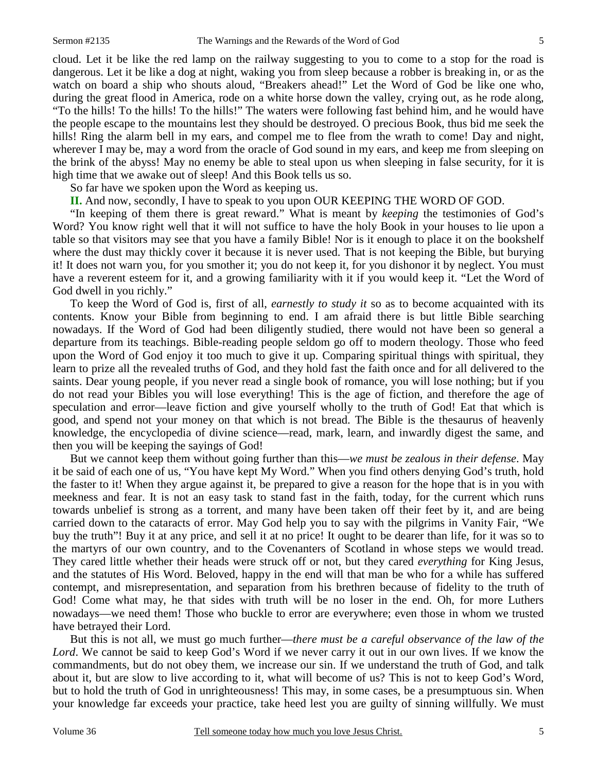cloud. Let it be like the red lamp on the railway suggesting to you to come to a stop for the road is dangerous. Let it be like a dog at night, waking you from sleep because a robber is breaking in, or as the watch on board a ship who shouts aloud, "Breakers ahead!" Let the Word of God be like one who, during the great flood in America, rode on a white horse down the valley, crying out, as he rode along, "To the hills! To the hills! To the hills!" The waters were following fast behind him, and he would have the people escape to the mountains lest they should be destroyed. O precious Book, thus bid me seek the hills! Ring the alarm bell in my ears, and compel me to flee from the wrath to come! Day and night, wherever I may be, may a word from the oracle of God sound in my ears, and keep me from sleeping on the brink of the abyss! May no enemy be able to steal upon us when sleeping in false security, for it is high time that we awake out of sleep! And this Book tells us so.

So far have we spoken upon the Word as keeping us.

**II.** And now, secondly, I have to speak to you upon OUR KEEPING THE WORD OF GOD.

 "In keeping of them there is great reward." What is meant by *keeping* the testimonies of God's Word? You know right well that it will not suffice to have the holy Book in your houses to lie upon a table so that visitors may see that you have a family Bible! Nor is it enough to place it on the bookshelf where the dust may thickly cover it because it is never used. That is not keeping the Bible, but burying it! It does not warn you, for you smother it; you do not keep it, for you dishonor it by neglect. You must have a reverent esteem for it, and a growing familiarity with it if you would keep it. "Let the Word of God dwell in you richly."

 To keep the Word of God is, first of all, *earnestly to study it* so as to become acquainted with its contents. Know your Bible from beginning to end. I am afraid there is but little Bible searching nowadays. If the Word of God had been diligently studied, there would not have been so general a departure from its teachings. Bible-reading people seldom go off to modern theology. Those who feed upon the Word of God enjoy it too much to give it up. Comparing spiritual things with spiritual, they learn to prize all the revealed truths of God, and they hold fast the faith once and for all delivered to the saints. Dear young people, if you never read a single book of romance, you will lose nothing; but if you do not read your Bibles you will lose everything! This is the age of fiction, and therefore the age of speculation and error—leave fiction and give yourself wholly to the truth of God! Eat that which is good, and spend not your money on that which is not bread. The Bible is the thesaurus of heavenly knowledge, the encyclopedia of divine science—read, mark, learn, and inwardly digest the same, and then you will be keeping the sayings of God!

 But we cannot keep them without going further than this—*we must be zealous in their defense*. May it be said of each one of us, "You have kept My Word." When you find others denying God's truth, hold the faster to it! When they argue against it, be prepared to give a reason for the hope that is in you with meekness and fear. It is not an easy task to stand fast in the faith, today, for the current which runs towards unbelief is strong as a torrent, and many have been taken off their feet by it, and are being carried down to the cataracts of error. May God help you to say with the pilgrims in Vanity Fair, "We buy the truth"! Buy it at any price, and sell it at no price! It ought to be dearer than life, for it was so to the martyrs of our own country, and to the Covenanters of Scotland in whose steps we would tread. They cared little whether their heads were struck off or not, but they cared *everything* for King Jesus, and the statutes of His Word. Beloved, happy in the end will that man be who for a while has suffered contempt, and misrepresentation, and separation from his brethren because of fidelity to the truth of God! Come what may, he that sides with truth will be no loser in the end. Oh, for more Luthers nowadays—we need them! Those who buckle to error are everywhere; even those in whom we trusted have betrayed their Lord.

 But this is not all, we must go much further—*there must be a careful observance of the law of the Lord*. We cannot be said to keep God's Word if we never carry it out in our own lives. If we know the commandments, but do not obey them, we increase our sin. If we understand the truth of God, and talk about it, but are slow to live according to it, what will become of us? This is not to keep God's Word, but to hold the truth of God in unrighteousness! This may, in some cases, be a presumptuous sin. When your knowledge far exceeds your practice, take heed lest you are guilty of sinning willfully. We must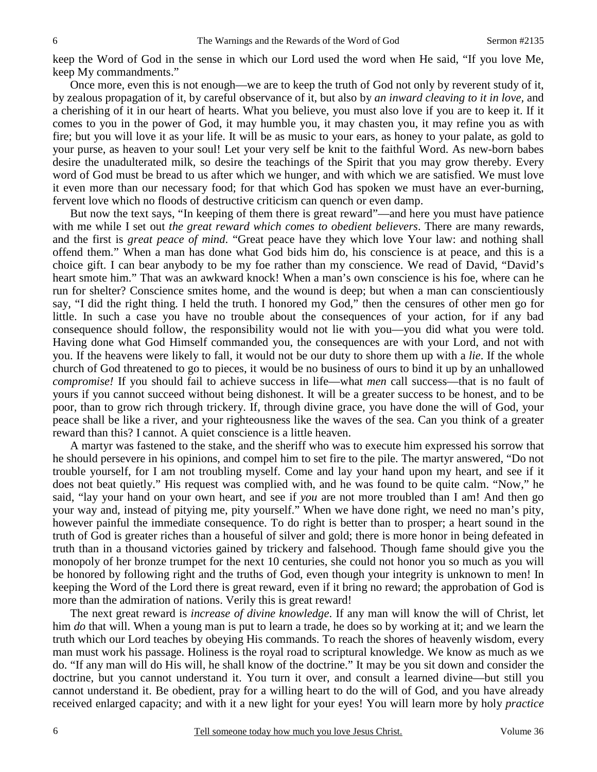keep the Word of God in the sense in which our Lord used the word when He said, "If you love Me, keep My commandments."

 Once more, even this is not enough—we are to keep the truth of God not only by reverent study of it, by zealous propagation of it, by careful observance of it, but also by *an inward cleaving to it in love,* and a cherishing of it in our heart of hearts. What you believe, you must also love if you are to keep it. If it comes to you in the power of God, it may humble you, it may chasten you, it may refine you as with fire; but you will love it as your life. It will be as music to your ears, as honey to your palate, as gold to your purse, as heaven to your soul! Let your very self be knit to the faithful Word. As new-born babes desire the unadulterated milk, so desire the teachings of the Spirit that you may grow thereby. Every word of God must be bread to us after which we hunger, and with which we are satisfied. We must love it even more than our necessary food; for that which God has spoken we must have an ever-burning, fervent love which no floods of destructive criticism can quench or even damp.

 But now the text says, "In keeping of them there is great reward"—and here you must have patience with me while I set out *the great reward which comes to obedient believers*. There are many rewards, and the first is *great peace of mind*. "Great peace have they which love Your law: and nothing shall offend them." When a man has done what God bids him do, his conscience is at peace, and this is a choice gift. I can bear anybody to be my foe rather than my conscience. We read of David, "David's heart smote him." That was an awkward knock! When a man's own conscience is his foe, where can he run for shelter? Conscience smites home, and the wound is deep; but when a man can conscientiously say, "I did the right thing. I held the truth. I honored my God," then the censures of other men go for little. In such a case you have no trouble about the consequences of your action, for if any bad consequence should follow, the responsibility would not lie with you—you did what you were told. Having done what God Himself commanded you, the consequences are with your Lord, and not with you. If the heavens were likely to fall, it would not be our duty to shore them up with a *lie*. If the whole church of God threatened to go to pieces, it would be no business of ours to bind it up by an unhallowed *compromise!* If you should fail to achieve success in life—what *men* call success—that is no fault of yours if you cannot succeed without being dishonest. It will be a greater success to be honest, and to be poor, than to grow rich through trickery. If, through divine grace, you have done the will of God, your peace shall be like a river, and your righteousness like the waves of the sea. Can you think of a greater reward than this? I cannot. A quiet conscience is a little heaven.

 A martyr was fastened to the stake, and the sheriff who was to execute him expressed his sorrow that he should persevere in his opinions, and compel him to set fire to the pile. The martyr answered, "Do not trouble yourself, for I am not troubling myself. Come and lay your hand upon my heart, and see if it does not beat quietly." His request was complied with, and he was found to be quite calm. "Now," he said, "lay your hand on your own heart, and see if *you* are not more troubled than I am! And then go your way and, instead of pitying me, pity yourself." When we have done right, we need no man's pity, however painful the immediate consequence. To do right is better than to prosper; a heart sound in the truth of God is greater riches than a houseful of silver and gold; there is more honor in being defeated in truth than in a thousand victories gained by trickery and falsehood. Though fame should give you the monopoly of her bronze trumpet for the next 10 centuries, she could not honor you so much as you will be honored by following right and the truths of God, even though your integrity is unknown to men! In keeping the Word of the Lord there is great reward, even if it bring no reward; the approbation of God is more than the admiration of nations. Verily this is great reward!

 The next great reward is *increase of divine knowledge*. If any man will know the will of Christ, let him *do* that will. When a young man is put to learn a trade, he does so by working at it; and we learn the truth which our Lord teaches by obeying His commands. To reach the shores of heavenly wisdom, every man must work his passage. Holiness is the royal road to scriptural knowledge. We know as much as we do. "If any man will do His will, he shall know of the doctrine." It may be you sit down and consider the doctrine, but you cannot understand it. You turn it over, and consult a learned divine—but still you cannot understand it. Be obedient, pray for a willing heart to do the will of God, and you have already received enlarged capacity; and with it a new light for your eyes! You will learn more by holy *practice*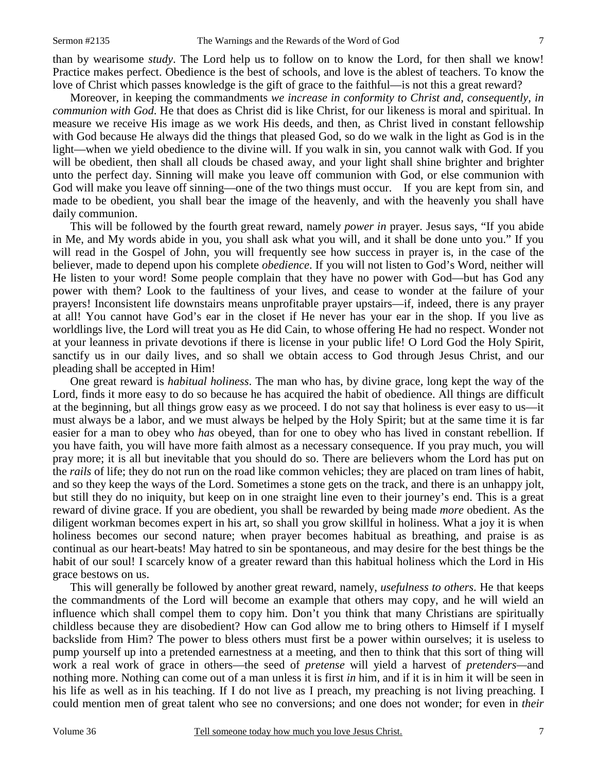than by wearisome *study*. The Lord help us to follow on to know the Lord, for then shall we know! Practice makes perfect. Obedience is the best of schools, and love is the ablest of teachers. To know the love of Christ which passes knowledge is the gift of grace to the faithful—is not this a great reward?

 Moreover, in keeping the commandments *we increase in conformity to Christ and, consequently, in communion with God*. He that does as Christ did is like Christ, for our likeness is moral and spiritual. In measure we receive His image as we work His deeds, and then, as Christ lived in constant fellowship with God because He always did the things that pleased God, so do we walk in the light as God is in the light—when we yield obedience to the divine will. If you walk in sin, you cannot walk with God. If you will be obedient, then shall all clouds be chased away, and your light shall shine brighter and brighter unto the perfect day. Sinning will make you leave off communion with God, or else communion with God will make you leave off sinning—one of the two things must occur. If you are kept from sin, and made to be obedient, you shall bear the image of the heavenly, and with the heavenly you shall have daily communion.

 This will be followed by the fourth great reward, namely *power in* prayer. Jesus says, "If you abide in Me, and My words abide in you, you shall ask what you will, and it shall be done unto you." If you will read in the Gospel of John, you will frequently see how success in prayer is, in the case of the believer, made to depend upon his complete *obedience*. If you will not listen to God's Word, neither will He listen to your word! Some people complain that they have no power with God—but has God any power with them? Look to the faultiness of your lives, and cease to wonder at the failure of your prayers! Inconsistent life downstairs means unprofitable prayer upstairs—if, indeed, there is any prayer at all! You cannot have God's ear in the closet if He never has your ear in the shop. If you live as worldlings live, the Lord will treat you as He did Cain, to whose offering He had no respect. Wonder not at your leanness in private devotions if there is license in your public life! O Lord God the Holy Spirit, sanctify us in our daily lives, and so shall we obtain access to God through Jesus Christ, and our pleading shall be accepted in Him!

 One great reward is *habitual holiness*. The man who has, by divine grace, long kept the way of the Lord, finds it more easy to do so because he has acquired the habit of obedience. All things are difficult at the beginning, but all things grow easy as we proceed. I do not say that holiness is ever easy to us—it must always be a labor, and we must always be helped by the Holy Spirit; but at the same time it is far easier for a man to obey who *has* obeyed, than for one to obey who has lived in constant rebellion. If you have faith, you will have more faith almost as a necessary consequence. If you pray much, you will pray more; it is all but inevitable that you should do so. There are believers whom the Lord has put on the *rails* of life; they do not run on the road like common vehicles; they are placed on tram lines of habit, and so they keep the ways of the Lord. Sometimes a stone gets on the track, and there is an unhappy jolt, but still they do no iniquity, but keep on in one straight line even to their journey's end. This is a great reward of divine grace. If you are obedient, you shall be rewarded by being made *more* obedient. As the diligent workman becomes expert in his art, so shall you grow skillful in holiness. What a joy it is when holiness becomes our second nature; when prayer becomes habitual as breathing, and praise is as continual as our heart-beats! May hatred to sin be spontaneous, and may desire for the best things be the habit of our soul! I scarcely know of a greater reward than this habitual holiness which the Lord in His grace bestows on us.

 This will generally be followed by another great reward, namely, *usefulness to others*. He that keeps the commandments of the Lord will become an example that others may copy, and he will wield an influence which shall compel them to copy him. Don't you think that many Christians are spiritually childless because they are disobedient? How can God allow me to bring others to Himself if I myself backslide from Him? The power to bless others must first be a power within ourselves; it is useless to pump yourself up into a pretended earnestness at a meeting, and then to think that this sort of thing will work a real work of grace in others—the seed of *pretense* will yield a harvest of *pretenders—*and nothing more. Nothing can come out of a man unless it is first *in* him, and if it is in him it will be seen in his life as well as in his teaching. If I do not live as I preach, my preaching is not living preaching. I could mention men of great talent who see no conversions; and one does not wonder; for even in *their*